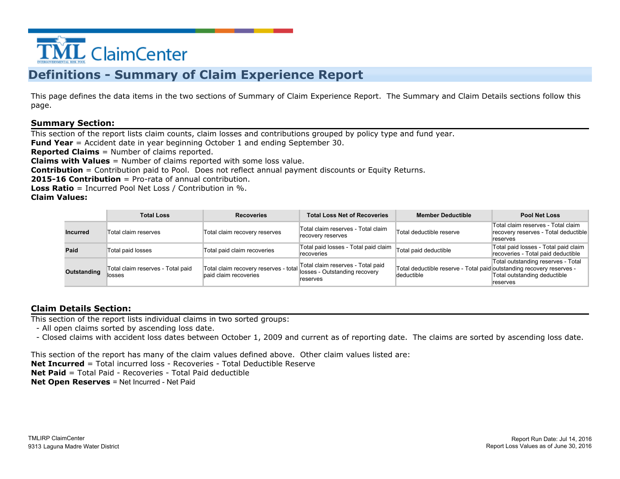

### **Definitions - Summary of Claim Experience Report**

This page defines the data items in the two sections of Summary of Claim Experience Report. The Summary and Claim Details sections follow this page.

#### **Summary Section:**

This section of the report lists claim counts, claim losses and contributions grouped by policy type and fund year.

**Fund Year** = Accident date in year beginning October 1 and ending September 30.

**Reported Claims** = Number of claims reported.

**Claims with Values** = Number of claims reported with some loss value.

**Contribution** = Contribution paid to Pool. Does not reflect annual payment discounts or Equity Returns.

**2015-16 Contribution** = Pro-rata of annual contribution.

**Loss Ratio** = Incurred Pool Net Loss / Contribution in %.

**Claim Values:**

|                 | <b>Total Loss</b>                           | <b>Recoveries</b>                                              | <b>Total Loss Net of Recoveries</b>                                            | <b>Member Deductible</b>                                                            | <b>Pool Net Loss</b>                                                                   |
|-----------------|---------------------------------------------|----------------------------------------------------------------|--------------------------------------------------------------------------------|-------------------------------------------------------------------------------------|----------------------------------------------------------------------------------------|
| <b>Incurred</b> | Total claim reserves                        | Total claim recovery reserves                                  | Total claim reserves - Total claim<br>recovery reserves                        | Total deductible reserve                                                            | Total claim reserves - Total claim<br>recovery reserves - Total deductible<br>reserves |
| Paid            | Total paid losses                           | Total paid claim recoveries                                    | Total paid losses - Total paid claim  Total paid deductible<br>recoveries      |                                                                                     | Total paid losses - Total paid claim<br>recoveries - Total paid deductible             |
| Outstanding     | Total claim reserves - Total paid<br>losses | Total claim recovery reserves - total<br>baid claim recoveries | Total claim reserves - Total paid<br>losses - Outstanding recovery<br>reserves | Total deductible reserve - Total paid outstanding recovery reserves -<br>deductible | Total outstanding reserves - Total<br>Total outstanding deductible<br>reserves         |

### **Claim Details Section:**

This section of the report lists individual claims in two sorted groups:

- All open claims sorted by ascending loss date.

- Closed claims with accident loss dates between October 1, 2009 and current as of reporting date. The claims are sorted by ascending loss date.

This section of the report has many of the claim values defined above. Other claim values listed are:

**Net Incurred** = Total incurred loss - Recoveries - Total Deductible Reserve

**Net Paid** = Total Paid - Recoveries - Total Paid deductible

**Net Open Reserves** = Net Incurred - Net Paid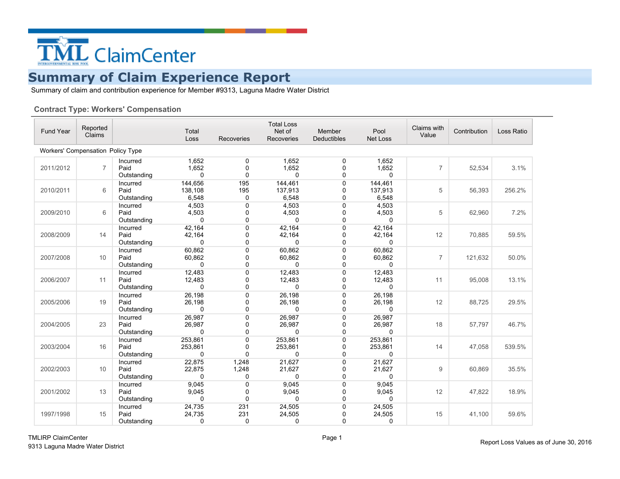

Summary of claim and contribution experience for Member #9313, Laguna Madre Water District

#### **Contract Type: Workers' Compensation**

| Fund Year                         | Reported<br>Claims |                                 | Total<br>Loss                | <b>Recoveries</b>                   | <b>Total Loss</b><br>Net of<br>Recoveries | Member<br>Deductibles | Pool<br>Net Loss                 | Claims with<br>Value | Contribution | Loss Ratio |
|-----------------------------------|--------------------|---------------------------------|------------------------------|-------------------------------------|-------------------------------------------|-----------------------|----------------------------------|----------------------|--------------|------------|
| Workers' Compensation Policy Type |                    |                                 |                              |                                     |                                           |                       |                                  |                      |              |            |
| 2011/2012                         | $\overline{7}$     | Incurred<br>Paid<br>Outstanding | 1,652<br>1,652<br>$\Omega$   | $\mathbf 0$<br>$\Omega$<br>$\Omega$ | 1,652<br>1,652<br>$\Omega$                | 0<br>0<br>0           | 1,652<br>1,652<br>$\Omega$       | $\overline{7}$       | 52,534       | 3.1%       |
| 2010/2011                         | 6                  | Incurred<br>Paid<br>Outstanding | 144,656<br>138,108<br>6,548  | 195<br>195<br>0                     | 144,461<br>137,913<br>6,548               | 0<br>0<br>0           | 144,461<br>137,913<br>6,548      | 5                    | 56,393       | 256.2%     |
| 2009/2010                         | 6                  | Incurred<br>Paid<br>Outstanding | 4,503<br>4,503<br>$\Omega$   | $\Omega$<br>$\Omega$<br>0           | 4,503<br>4,503<br>$\mathbf{0}$            | $\mathbf 0$<br>0<br>0 | 4,503<br>4,503<br>$\Omega$       | 5                    | 62,960       | 7.2%       |
| 2008/2009                         | 14                 | Incurred<br>Paid<br>Outstanding | 42.164<br>42,164<br>0        | 0<br>$\mathbf 0$<br>$\mathbf 0$     | 42,164<br>42,164<br>0                     | 0<br>0<br>0           | 42.164<br>42,164<br>0            | 12                   | 70,885       | 59.5%      |
| 2007/2008                         | 10                 | Incurred<br>Paid<br>Outstanding | 60,862<br>60,862<br>0        | $\Omega$<br>0<br>$\mathbf 0$        | 60,862<br>60,862<br>0                     | $\mathbf 0$<br>0<br>0 | 60,862<br>60,862<br>$\mathbf{0}$ | $\overline{7}$       | 121,632      | 50.0%      |
| 2006/2007                         | 11                 | Incurred<br>Paid<br>Outstanding | 12,483<br>12,483<br>$\Omega$ | $\mathbf 0$<br>0<br>$\Omega$        | 12,483<br>12,483<br>0                     | 0<br>0<br>$\Omega$    | 12,483<br>12,483<br>$\Omega$     | 11                   | 95,008       | 13.1%      |
| 2005/2006                         | 19                 | Incurred<br>Paid<br>Outstanding | 26,198<br>26,198<br>$\Omega$ | $\Omega$<br>0<br>0                  | 26,198<br>26,198<br>$\Omega$              | 0<br>0<br>0           | 26,198<br>26,198<br>$\mathbf{0}$ | 12                   | 88,725       | 29.5%      |
| 2004/2005                         | 23                 | Incurred<br>Paid<br>Outstanding | 26,987<br>26,987<br>0        | $\Omega$<br>$\mathbf 0$<br>$\Omega$ | 26,987<br>26,987<br>0                     | 0<br>0<br>$\Omega$    | 26,987<br>26,987<br>0            | 18                   | 57,797       | 46.7%      |
| 2003/2004                         | 16                 | Incurred<br>Paid<br>Outstanding | 253,861<br>253,861<br>0      | $\mathbf 0$<br>0<br>$\Omega$        | 253,861<br>253,861<br>0                   | 0<br>0<br>0           | 253,861<br>253,861<br>0          | 14                   | 47,058       | 539.5%     |
| 2002/2003                         | 10                 | Incurred<br>Paid<br>Outstanding | 22,875<br>22,875<br>0        | 1,248<br>1,248<br>0                 | 21,627<br>21,627<br>$\Omega$              | $\mathbf 0$<br>0<br>0 | 21,627<br>21,627<br>0            | 9                    | 60,869       | 35.5%      |
| 2001/2002                         | 13                 | Incurred<br>Paid<br>Outstanding | 9,045<br>9,045<br>0          | $\mathbf 0$<br>0<br>$\mathbf 0$     | 9,045<br>9,045<br>$\Omega$                | 0<br>0<br>$\mathbf 0$ | 9,045<br>9,045<br>0              | 12                   | 47,822       | 18.9%      |
| 1997/1998                         | 15                 | Incurred<br>Paid<br>Outstanding | 24,735<br>24,735<br>0        | 231<br>231<br>$\Omega$              | 24,505<br>24,505<br>0                     | 0<br>0<br>0           | 24,505<br>24,505<br>0            | 15                   | 41,100       | 59.6%      |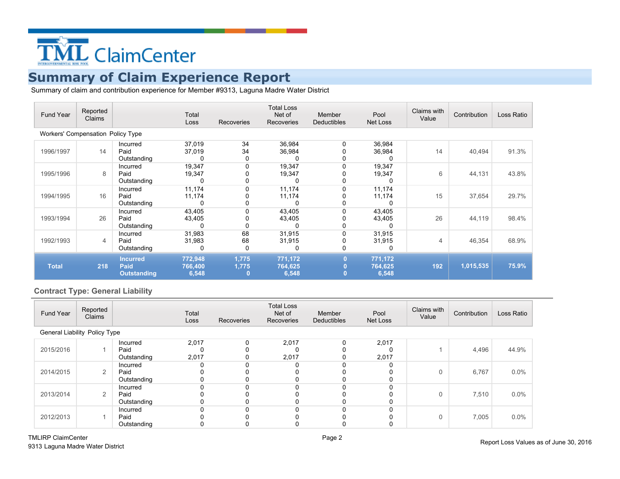

Summary of claim and contribution experience for Member #9313, Laguna Madre Water District

| Fund Year                                | Reported<br>Claims |                                                      | Total<br>Loss                | <b>Recoveries</b> | <b>Total Loss</b><br>Net of<br>Recoveries | Member<br>Deductibles | Pool<br>Net Loss            | Claims with<br>Value | Contribution | Loss Ratio |
|------------------------------------------|--------------------|------------------------------------------------------|------------------------------|-------------------|-------------------------------------------|-----------------------|-----------------------------|----------------------|--------------|------------|
| <b>Workers' Compensation Policy Type</b> |                    |                                                      |                              |                   |                                           |                       |                             |                      |              |            |
| 1996/1997                                | 14                 | Incurred<br>Paid<br>Outstanding                      | 37,019<br>37,019<br>$\Omega$ | 34<br>34<br>0     | 36,984<br>36,984                          | 0                     | 36,984<br>36,984            | 14                   | 40,494       | 91.3%      |
| 1995/1996                                | 8                  | Incurred<br>Paid<br>Outstanding                      | 19,347<br>19,347<br>0        | 0<br>0<br>0       | 19,347<br>19,347<br>0                     | 0<br>0                | 19,347<br>19,347<br>0       | 6                    | 44,131       | 43.8%      |
| 1994/1995                                | 16                 | Incurred<br>Paid<br>Outstanding                      | 11,174<br>11,174<br>0        | 0<br>0<br>0       | 11,174<br>11,174                          | 0                     | 11,174<br>11,174<br>0       | 15                   | 37,654       | 29.7%      |
| 1993/1994                                | 26                 | Incurred<br>Paid<br>Outstanding                      | 43,405<br>43,405<br>U        | 0<br>0<br>0       | 43,405<br>43,405                          | 0                     | 43,405<br>43,405            | 26                   | 44,119       | 98.4%      |
| 1992/1993                                | 4                  | Incurred<br>Paid<br>Outstanding                      | 31,983<br>31,983<br>0        | 68<br>68<br>0     | 31,915<br>31,915<br>0                     | 0<br>0                | 31,915<br>31,915<br>0       | 4                    | 46,354       | 68.9%      |
| <b>Total</b>                             | 218                | <b>Incurred</b><br><b>Paid</b><br><b>Outstanding</b> | 772,948<br>766,400<br>6,548  | 1,775<br>1,775    | 771,172<br>764,625<br>6,548               | $\bf{0}$              | 771,172<br>764,625<br>6,548 | 192                  | 1,015,535    | 75.9%      |

### **Contract Type: General Liability**

| Fund Year                            | Reported<br>Claims |             | Total<br>Loss | Recoveries | <b>Total Loss</b><br>Net of<br>Recoveries | Member<br><b>Deductibles</b> | Pool<br>Net Loss | Claims with<br>Value | Contribution | Loss Ratio |
|--------------------------------------|--------------------|-------------|---------------|------------|-------------------------------------------|------------------------------|------------------|----------------------|--------------|------------|
| <b>General Liability Policy Type</b> |                    |             |               |            |                                           |                              |                  |                      |              |            |
|                                      |                    | Incurred    | 2,017         | $\Omega$   | 2,017                                     |                              | 2,017            |                      |              |            |
| 2015/2016                            |                    | Paid        |               |            |                                           |                              |                  |                      | 4,496        | 44.9%      |
|                                      |                    | Outstanding | 2,017         | 0          | 2,017                                     | 0                            | 2,017            |                      |              |            |
|                                      |                    | Incurred    |               |            | 0                                         |                              |                  |                      |              |            |
| 2014/2015                            | 2                  | Paid        |               |            |                                           |                              |                  | 0                    | 6,767        | $0.0\%$    |
|                                      |                    | Outstanding |               |            |                                           |                              |                  |                      |              |            |
|                                      |                    | Incurred    |               |            |                                           |                              |                  |                      |              |            |
| 2013/2014                            | 2                  | Paid        |               |            |                                           |                              |                  | 0                    | 7,510        | $0.0\%$    |
|                                      |                    | Outstanding |               |            |                                           |                              |                  |                      |              |            |
|                                      |                    | Incurred    |               |            |                                           |                              |                  |                      |              |            |
| 2012/2013                            |                    | Paid        |               |            |                                           |                              |                  | 0                    | 7,005        | 0.0%       |
|                                      |                    | Outstanding |               |            |                                           |                              |                  |                      |              |            |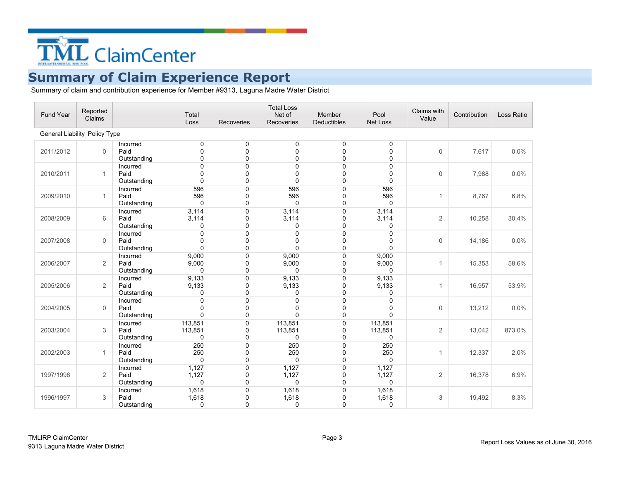

| Fund Year                     | Reported<br>Claims |                                 | Total<br>Loss                  | Recoveries                       | <b>Total Loss</b><br>Net of<br>Recoveries | Member<br><b>Deductibles</b>    | Pool<br>Net Loss                  | Claims with<br>Value | Contribution | Loss Ratio |
|-------------------------------|--------------------|---------------------------------|--------------------------------|----------------------------------|-------------------------------------------|---------------------------------|-----------------------------------|----------------------|--------------|------------|
| General Liability Policy Type |                    |                                 |                                |                                  |                                           |                                 |                                   |                      |              |            |
| 2011/2012                     | $\Omega$           | Incurred<br>Paid<br>Outstanding | 0<br>$\Omega$<br>0             | 0<br>$\Omega$<br>0               | 0<br>$\Omega$<br>$\mathbf 0$              | 0<br>$\Omega$<br>0              | 0<br>$\mathbf{0}$<br>$\mathbf 0$  | $\Omega$             | 7,617        | 0.0%       |
| 2010/2011                     | $\mathbf{1}$       | Incurred<br>Paid<br>Outstanding | $\Omega$<br>$\Omega$<br>0      | 0<br>$\mathbf 0$<br>$\mathbf{0}$ | 0<br>0<br>0                               | 0<br>0<br>0                     | $\mathbf 0$<br>0<br>$\mathbf 0$   | $\mathbf 0$          | 7,988        | 0.0%       |
| 2009/2010                     | $\mathbf{1}$       | Incurred<br>Paid<br>Outstanding | 596<br>596<br>$\mathbf 0$      | $\mathbf 0$<br>0<br>0            | 596<br>596<br>$\mathbf 0$                 | $\mathbf 0$<br>0<br>0           | 596<br>596<br>$\mathbf 0$         | $\mathbf{1}$         | 8,767        | 6.8%       |
| 2008/2009                     | 6                  | Incurred<br>Paid<br>Outstanding | 3,114<br>3,114<br>0            | $\mathbf 0$<br>$\mathbf 0$<br>0  | 3,114<br>3,114<br>0                       | 0<br>0<br>0                     | 3,114<br>3,114<br>0               | $\overline{2}$       | 10,258       | 30.4%      |
| 2007/2008                     | $\mathbf 0$        | Incurred<br>Paid<br>Outstanding | $\Omega$<br>0<br>$\mathbf{0}$  | 0<br>0<br>$\Omega$               | $\mathbf 0$<br>0<br>$\Omega$              | $\mathbf 0$<br>0<br>$\mathbf 0$ | $\mathbf{0}$<br>0<br>$\mathbf{0}$ | 0                    | 14,186       | 0.0%       |
| 2006/2007                     | $\mathbf{2}$       | Incurred<br>Paid<br>Outstanding | 9,000<br>9,000<br>$\mathbf 0$  | $\Omega$<br>$\mathbf 0$<br>0     | 9,000<br>9,000<br>$\Omega$                | 0<br>0<br>0                     | 9,000<br>9,000<br>$\Omega$        | 1                    | 15,353       | 58.6%      |
| 2005/2006                     | $\overline{2}$     | Incurred<br>Paid<br>Outstanding | 9,133<br>9,133<br>0            | 0<br>0<br>0                      | 9,133<br>9,133<br>0                       | 0<br>0<br>0                     | 9,133<br>9,133<br>0               | $\mathbf{1}$         | 16,957       | 53.9%      |
| 2004/2005                     | $\Omega$           | Incurred<br>Paid<br>Outstanding | $\Omega$<br>0<br>$\Omega$      | 0<br>$\mathbf 0$<br>0            | 0<br>$\Omega$<br>$\mathbf{0}$             | 0<br>0<br>0                     | $\mathbf 0$<br>0<br>$\mathbf 0$   | $\Omega$             | 13,212       | 0.0%       |
| 2003/2004                     | 3                  | Incurred<br>Paid<br>Outstanding | 113,851<br>113,851<br>$\Omega$ | 0<br>0<br>$\mathbf{0}$           | 113,851<br>113,851<br>$\mathbf{0}$        | 0<br>0<br>0                     | 113,851<br>113,851<br>$\mathbf 0$ | 2                    | 13,042       | 873.0%     |
| 2002/2003                     | $\mathbf{1}$       | Incurred<br>Paid<br>Outstanding | 250<br>250<br>0                | 0<br>0<br>$\mathbf 0$            | 250<br>250<br>$\mathbf 0$                 | $\mathbf 0$<br>0<br>0           | 250<br>250<br>$\mathbf 0$         | $\mathbf{1}$         | 12,337       | 2.0%       |
| 1997/1998                     | $\overline{2}$     | Incurred<br>Paid<br>Outstanding | 1,127<br>1,127<br>$\mathbf{0}$ | $\mathbf 0$<br>0<br>$\Omega$     | 1,127<br>1,127<br>0                       | 0<br>0<br>0                     | 1,127<br>1,127<br>$\Omega$        | $\overline{2}$       | 16,378       | 6.9%       |
| 1996/1997                     | 3                  | Incurred<br>Paid<br>Outstanding | 1,618<br>1,618<br>0            | 0<br>0<br>0                      | 1,618<br>1,618<br>0                       | 0<br>0<br>$\mathbf 0$           | 1,618<br>1,618<br>0               | 3                    | 19,492       | 8.3%       |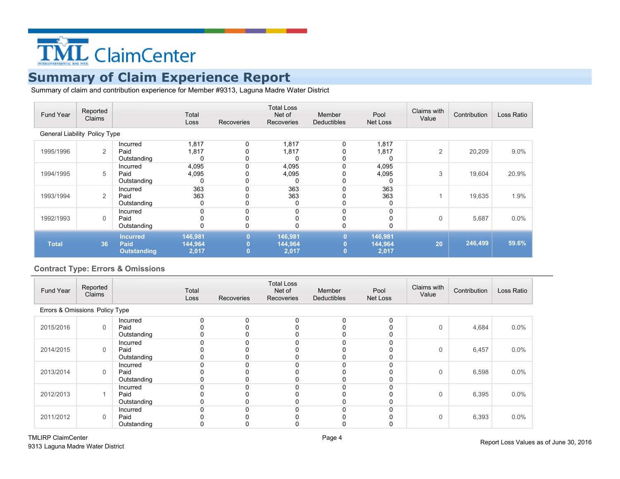

Summary of claim and contribution experience for Member #9313, Laguna Madre Water District

| Fund Year                     | Reported<br>Claims |                                               | Total<br>Loss               | <b>Recoveries</b> | <b>Total Loss</b><br>Net of<br>Recoveries | Member<br><b>Deductibles</b>     | Pool<br>Net Loss            | Claims with<br>Value | Contribution | Loss Ratio |
|-------------------------------|--------------------|-----------------------------------------------|-----------------------------|-------------------|-------------------------------------------|----------------------------------|-----------------------------|----------------------|--------------|------------|
| General Liability Policy Type |                    |                                               |                             |                   |                                           |                                  |                             |                      |              |            |
| 1995/1996                     | 2                  | Incurred<br>Paid<br>Outstanding               | 1,817<br>1,817<br>0         | 0                 | 1,817<br>1,817                            | 0<br>0                           | 1,817<br>1,817<br>0         | $\overline{2}$       | 20,209       | 9.0%       |
| 1994/1995                     | 5                  | Incurred<br>Paid<br>Outstanding               | 4,095<br>4,095<br>0         | 0<br>0            | 4,095<br>4,095                            |                                  | 4,095<br>4,095<br>0         | 3                    | 19,604       | 20.9%      |
| 1993/1994                     | 2                  | Incurred<br>Paid<br>Outstanding               | 363<br>363<br>0             | 0                 | 363<br>363                                |                                  | 363<br>363<br>0             |                      | 19,635       | 1.9%       |
| 1992/1993                     | $\mathbf 0$        | Incurred<br>Paid<br>Outstanding               | 0<br>0                      | 0                 |                                           | 0                                |                             | $\Omega$             | 5,687        | $0.0\%$    |
| <b>Total</b>                  | 36                 | <b>Incurred</b><br>Paid<br><b>Outstanding</b> | 146,981<br>144,964<br>2,017 | 0                 | 146,981<br>144,964<br>2,017               | $\bf{0}$<br>$\bf{0}$<br>$\bf{0}$ | 146,981<br>144,964<br>2,017 | 20                   | 246,499      | 59.6%      |

#### **Contract Type: Errors & Omissions**

| Fund Year                      | Reported<br>Claims |                                 | Total<br>Loss | <b>Recoveries</b> | <b>Total Loss</b><br>Net of<br>Recoveries | Member<br>Deductibles | Pool<br>Net Loss | Claims with<br>Value | Contribution | Loss Ratio |
|--------------------------------|--------------------|---------------------------------|---------------|-------------------|-------------------------------------------|-----------------------|------------------|----------------------|--------------|------------|
| Errors & Omissions Policy Type |                    |                                 |               |                   |                                           |                       |                  |                      |              |            |
| 2015/2016                      | $\mathbf 0$        | Incurred<br>Paid<br>Outstanding |               |                   |                                           |                       | $\Omega$         | $\Omega$             | 4,684        | $0.0\%$    |
| 2014/2015                      | $\mathbf 0$        | Incurred<br>Paid<br>Outstanding |               |                   |                                           |                       |                  | $\mathbf 0$          | 6,457        | 0.0%       |
| 2013/2014                      | 0                  | Incurred<br>Paid<br>Outstanding |               |                   |                                           |                       |                  | 0                    | 6,598        | $0.0\%$    |
| 2012/2013                      |                    | Incurred<br>Paid<br>Outstanding |               |                   |                                           |                       |                  | 0                    | 6,395        | $0.0\%$    |
| 2011/2012                      | $\mathbf 0$        | Incurred<br>Paid<br>Outstanding |               |                   |                                           |                       |                  | 0                    | 6,393        | $0.0\%$    |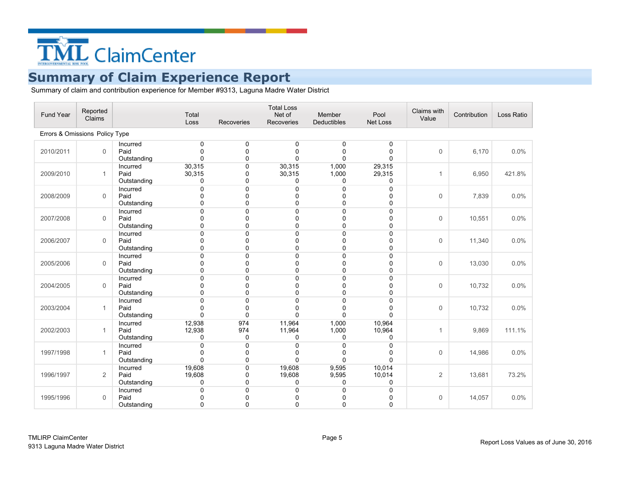

| Fund Year                      | Reported<br>Claims |                                 | Total<br>Loss                    | Recoveries      | <b>Total Loss</b><br>Net of<br><b>Recoveries</b> | Member<br><b>Deductibles</b> | Pool<br><b>Net Loss</b> | Claims with<br>Value | Contribution | Loss Ratio |
|--------------------------------|--------------------|---------------------------------|----------------------------------|-----------------|--------------------------------------------------|------------------------------|-------------------------|----------------------|--------------|------------|
| Errors & Omissions Policy Type |                    |                                 |                                  |                 |                                                  |                              |                         |                      |              |            |
| 2010/2011                      | $\Omega$           | Incurred<br>Paid<br>Outstanding | $\Omega$<br>$\Omega$<br>$\Omega$ | 0<br>0<br>0     | 0<br>0<br>0                                      | 0<br>0<br>0                  | 0<br>0<br>0             | $\Omega$             | 6,170        | 0.0%       |
| 2009/2010                      | $\mathbf{1}$       | Incurred<br>Paid<br>Outstanding | 30,315<br>30,315<br>$\Omega$     | 0<br>0<br>0     | 30,315<br>30,315<br>0                            | 1,000<br>1,000<br>0          | 29,315<br>29,315<br>0   | 1                    | 6,950        | 421.8%     |
| 2008/2009                      | $\Omega$           | Incurred<br>Paid<br>Outstanding | $\Omega$<br>O<br>$\Omega$        | 0<br>0<br>0     | 0<br>0<br>$\Omega$                               | 0<br>0<br>0                  | 0<br>0<br>0             | $\Omega$             | 7,839        | 0.0%       |
| 2007/2008                      | $\mathbf 0$        | Incurred<br>Paid<br>Outstanding | O<br>U<br>$\Omega$               | 0<br>0<br>0     | 0<br>0<br>0                                      | 0<br>0<br>0                  | 0<br>0<br>0             | $\mathbf 0$          | 10,551       | 0.0%       |
| 2006/2007                      | $\mathbf 0$        | Incurred<br>Paid<br>Outstanding | $\Omega$<br>O<br>$\Omega$        | 0<br>0<br>0     | 0<br>0<br>0                                      | 0<br>0<br>0                  | 0<br>0<br>0             | $\mathbf 0$          | 11,340       | 0.0%       |
| 2005/2006                      | $\Omega$           | Incurred<br>Paid<br>Outstanding | $\Omega$<br>n<br>$\Omega$        | 0<br>0<br>0     | 0<br>$\Omega$<br>0                               | 0<br>$\Omega$<br>0           | 0<br>$\Omega$<br>0      | $\Omega$             | 13,030       | 0.0%       |
| 2004/2005                      | $\Omega$           | Incurred<br>Paid<br>Outstanding | $\Omega$<br>$\Omega$             | 0<br>0<br>0     | 0<br>$\Omega$<br>0                               | 0<br>0<br>0                  | 0<br>0<br>0             | $\Omega$             | 10,732       | 0.0%       |
| 2003/2004                      | $\mathbf{1}$       | Incurred<br>Paid<br>Outstanding | $\Omega$<br>n<br>$\Omega$        | 0<br>0<br>0     | 0<br>0<br>$\Omega$                               | 0<br>0<br>0                  | 0<br>0<br>0             | $\mathbf 0$          | 10,732       | 0.0%       |
| 2002/2003                      | $\mathbf{1}$       | Incurred<br>Paid<br>Outstanding | 12,938<br>12,938<br>0            | 974<br>974<br>0 | 11,964<br>11,964<br>0                            | 1,000<br>1,000<br>0          | 10,964<br>10,964<br>0   | 1                    | 9,869        | 111.1%     |
| 1997/1998                      | 1                  | Incurred<br>Paid<br>Outstanding | $\Omega$<br>$\Omega$<br>$\Omega$ | 0<br>0<br>0     | 0<br>0<br>0                                      | 0<br>0<br>0                  | 0<br>0<br>0             | $\Omega$             | 14,986       | 0.0%       |
| 1996/1997                      | 2                  | Incurred<br>Paid<br>Outstanding | 19,608<br>19,608<br>0            | 0<br>0<br>0     | 19,608<br>19,608<br>0                            | 9,595<br>9,595<br>0          | 10,014<br>10,014<br>0   | 2                    | 13,681       | 73.2%      |
| 1995/1996                      | $\mathbf{0}$       | Incurred<br>Paid<br>Outstanding | $\Omega$<br>0                    | 0<br>0<br>0     | 0<br>0<br>0                                      | 0<br>0<br>0                  | 0<br>0<br>0             | $\Omega$             | 14,057       | 0.0%       |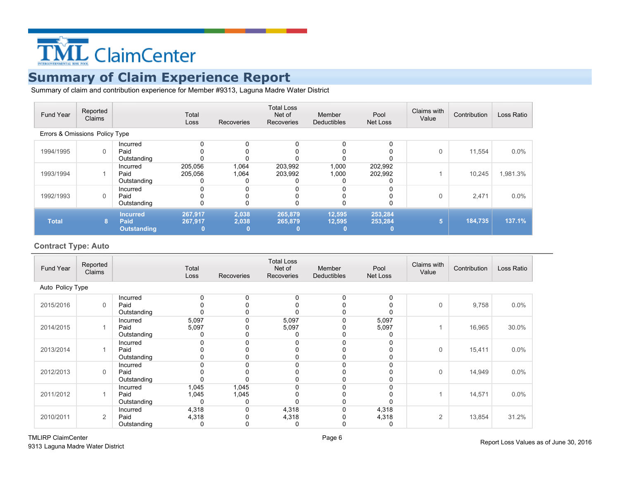

Summary of claim and contribution experience for Member #9313, Laguna Madre Water District

| Fund Year                      | Reported<br>Claims |                                               | Total<br>Loss           | Recoveries     | <b>Total Loss</b><br>Net of<br>Recoveries | Member<br><b>Deductibles</b> | Pool<br>Net Loss   | Claims with<br>Value | Contribution | Loss Ratio |
|--------------------------------|--------------------|-----------------------------------------------|-------------------------|----------------|-------------------------------------------|------------------------------|--------------------|----------------------|--------------|------------|
| Errors & Omissions Policy Type |                    |                                               |                         |                |                                           |                              |                    |                      |              |            |
| 1994/1995                      | 0                  | Incurred<br>Paid<br>Outstanding               | 0                       |                |                                           |                              | 0                  | 0                    | 11,554       | $0.0\%$    |
| 1993/1994                      |                    | Incurred<br>Paid<br>Outstanding               | 205,056<br>205,056<br>0 | 1,064<br>1,064 | 203,992<br>203,992                        | 1,000<br>1,000               | 202,992<br>202,992 |                      | 10,245       | 1,981.3%   |
| 1992/1993                      | 0                  | Incurred<br>Paid<br>Outstanding               | 0                       | ი              |                                           |                              |                    | 0                    | 2,471        | $0.0\%$    |
| <b>Total</b>                   | 8.                 | <b>Incurred</b><br>Paid<br><b>Outstanding</b> | 267,917<br>267,917      | 2,038<br>2,038 | 265,879<br>265,879                        | 12,595<br>12,595             | 253,284<br>253,284 | 5                    | 184,735      | 137.1%     |

#### **Contract Type: Auto**

| Fund Year        | Reported<br>Claims |                                 | Total<br>Loss       | Recoveries     | <b>Total Loss</b><br>Net of<br>Recoveries | Member<br>Deductibles | Pool<br>Net Loss    | Claims with<br>Value | Contribution | Loss Ratio |
|------------------|--------------------|---------------------------------|---------------------|----------------|-------------------------------------------|-----------------------|---------------------|----------------------|--------------|------------|
| Auto Policy Type |                    |                                 |                     |                |                                           |                       |                     |                      |              |            |
| 2015/2016        | 0                  | Incurred<br>Paid<br>Outstanding | 0                   |                |                                           | $\Omega$              | 0<br>0<br>0         | 0                    | 9,758        | 0.0%       |
| 2014/2015        |                    | Incurred<br>Paid<br>Outstanding | 5,097<br>5,097<br>0 |                | 5,097<br>5,097                            |                       | 5,097<br>5,097<br>0 |                      | 16,965       | 30.0%      |
| 2013/2014        |                    | Incurred<br>Paid<br>Outstanding | 0                   |                |                                           |                       | 0<br>0<br>0         | 0                    | 15,411       | 0.0%       |
| 2012/2013        | 0                  | Incurred<br>Paid<br>Outstanding |                     |                |                                           |                       | 0<br>0<br>0         | $\mathbf 0$          | 14,949       | 0.0%       |
| 2011/2012        |                    | Incurred<br>Paid<br>Outstanding | 1,045<br>1,045<br>0 | 1,045<br>1,045 |                                           |                       | 0<br>0<br>0         |                      | 14,571       | 0.0%       |
| 2010/2011        | 2                  | Incurred<br>Paid<br>Outstanding | 4,318<br>4,318<br>0 |                | 4,318<br>4,318<br>0                       |                       | 4,318<br>4,318<br>0 | 2                    | 13,854       | 31.2%      |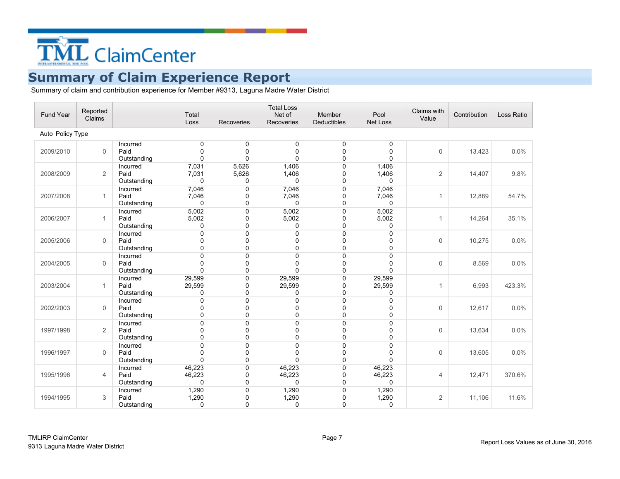

| Fund Year        | Reported<br>Claims |                                 | Total<br>Loss                    | Recoveries          | <b>Total Loss</b><br>Net of<br><b>Recoveries</b> | Member<br><b>Deductibles</b> | Pool<br><b>Net Loss</b> | Claims with<br>Value | Contribution | Loss Ratio |
|------------------|--------------------|---------------------------------|----------------------------------|---------------------|--------------------------------------------------|------------------------------|-------------------------|----------------------|--------------|------------|
| Auto Policy Type |                    |                                 |                                  |                     |                                                  |                              |                         |                      |              |            |
| 2009/2010        | $\Omega$           | Incurred<br>Paid<br>Outstanding | $\Omega$<br>$\Omega$<br>$\Omega$ | 0<br>0<br>0         | 0<br>0<br>0                                      | 0<br>0<br>0                  | 0<br>0<br>0             | $\Omega$             | 13,423       | 0.0%       |
| 2008/2009        | 2                  | Incurred<br>Paid<br>Outstanding | 7,031<br>7,031<br>$\Omega$       | 5,626<br>5,626<br>0 | 1,406<br>1,406<br>0                              | 0<br>0<br>0                  | 1,406<br>1,406<br>0     | $\overline{2}$       | 14,407       | 9.8%       |
| 2007/2008        | $\mathbf{1}$       | Incurred<br>Paid<br>Outstanding | 7,046<br>7,046<br>0              | 0<br>0<br>0         | 7,046<br>7,046<br>$\mathbf 0$                    | 0<br>0<br>0                  | 7,046<br>7,046<br>0     | 1                    | 12,889       | 54.7%      |
| 2006/2007        | 1                  | Incurred<br>Paid<br>Outstanding | 5,002<br>5,002<br>0              | 0<br>0<br>0         | 5,002<br>5,002<br>0                              | 0<br>0<br>0                  | 5,002<br>5,002<br>0     | 1                    | 14,264       | 35.1%      |
| 2005/2006        | $\mathbf 0$        | Incurred<br>Paid<br>Outstanding | $\mathbf{0}$<br>$\Omega$         | 0<br>0<br>0         | 0<br>0<br>0                                      | 0<br>0<br>0                  | 0<br>0<br>0             | $\mathbf 0$          | 10,275       | 0.0%       |
| 2004/2005        | $\Omega$           | Incurred<br>Paid<br>Outstanding | U<br>∩<br>$\Omega$               | 0<br>0<br>0         | 0<br>$\Omega$<br>$\Omega$                        | 0<br>$\Omega$<br>0           | 0<br>0<br>0             | $\Omega$             | 8,569        | 0.0%       |
| 2003/2004        | $\mathbf{1}$       | Incurred<br>Paid<br>Outstanding | 29,599<br>29,599<br>0            | 0<br>0<br>0         | 29,599<br>29,599<br>0                            | 0<br>0<br>0                  | 29,599<br>29,599<br>0   | $\mathbf{1}$         | 6,993        | 423.3%     |
| 2002/2003        | $\mathbf 0$        | Incurred<br>Paid<br>Outstanding | $\Omega$<br>O<br>$\Omega$        | 0<br>0<br>0         | 0<br>0<br>$\Omega$                               | 0<br>0<br>0                  | 0<br>0<br>0             | $\mathbf 0$          | 12,617       | 0.0%       |
| 1997/1998        | 2                  | Incurred<br>Paid<br>Outstanding | U<br>$\Omega$<br>$\Omega$        | 0<br>$\Omega$<br>0  | 0<br>$\Omega$<br>$\Omega$                        | 0<br>0<br>0                  | 0<br>0<br>0             | $\Omega$             | 13,634       | 0.0%       |
| 1996/1997        | $\mathbf 0$        | Incurred<br>Paid<br>Outstanding | $\Omega$<br>$\Omega$<br>$\Omega$ | 0<br>0<br>0         | 0<br>0<br>0                                      | 0<br>0<br>0                  | 0<br>0<br>0             | $\Omega$             | 13,605       | 0.0%       |
| 1995/1996        | $\overline{4}$     | Incurred<br>Paid<br>Outstanding | 46,223<br>46,223<br>$\Omega$     | 0<br>0<br>0         | 46,223<br>46,223<br>$\Omega$                     | 0<br>0<br>0                  | 46,223<br>46,223<br>0   | $\overline{4}$       | 12,471       | 370.6%     |
| 1994/1995        | 3                  | Incurred<br>Paid<br>Outstanding | 1,290<br>1,290<br>0              | 0<br>0<br>0         | 1,290<br>1,290<br>0                              | 0<br>0<br>0                  | 1,290<br>1,290<br>0     | 2                    | 11,106       | 11.6%      |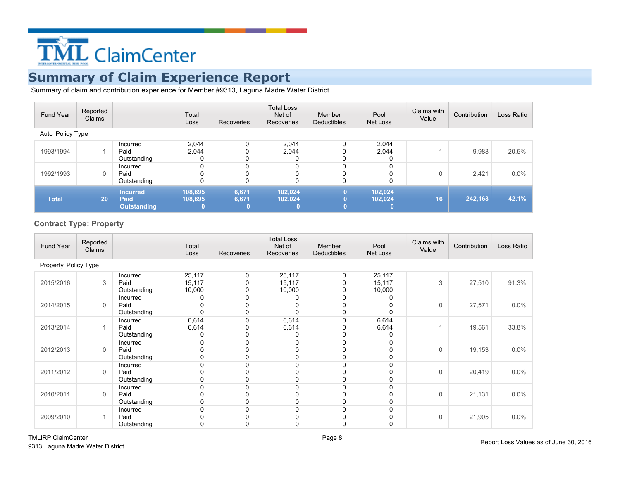

Summary of claim and contribution experience for Member #9313, Laguna Madre Water District

| Fund Year        | Reported<br>Claims |                                               | Total<br>Loss       | Recoveries     | <b>Total Loss</b><br>Net of<br>Recoveries | Member<br><b>Deductibles</b> | Pool<br>Net Loss        | Claims with<br>Value | Contribution | Loss Ratio |
|------------------|--------------------|-----------------------------------------------|---------------------|----------------|-------------------------------------------|------------------------------|-------------------------|----------------------|--------------|------------|
| Auto Policy Type |                    |                                               |                     |                |                                           |                              |                         |                      |              |            |
| 1993/1994        |                    | Incurred<br>Paid<br>Outstanding               | 2.044<br>2.044<br>0 |                | 2,044<br>2.044                            |                              | 2,044<br>2.044          |                      | 9,983        | 20.5%      |
| 1992/1993        | 0                  | Incurred<br>Paid<br>Outstanding               | 0                   | 0              |                                           | 0                            | 0                       | $\Omega$             | 2,421        | 0.0%       |
| <b>Total</b>     | 20                 | <b>Incurred</b><br>Paid<br><b>Outstanding</b> | 108,695<br>108.695  | 6,671<br>6,671 | 102.024<br>102.024                        | $\bf{0}$<br>0<br>$\bf{0}$    | 102.024<br>102.024<br>o | 16                   | 242,163      | 42.1%      |

#### **Contract Type: Property**

| Fund Year            | Reported<br>Claims |                                 | Total<br>Loss              | Recoveries | <b>Total Loss</b><br>Net of<br>Recoveries | Member<br><b>Deductibles</b> | Pool<br>Net Loss           | Claims with<br>Value | Contribution | Loss Ratio |
|----------------------|--------------------|---------------------------------|----------------------------|------------|-------------------------------------------|------------------------------|----------------------------|----------------------|--------------|------------|
| Property Policy Type |                    |                                 |                            |            |                                           |                              |                            |                      |              |            |
| 2015/2016            | 3                  | Incurred<br>Paid<br>Outstanding | 25,117<br>15,117<br>10,000 | 0          | 25,117<br>15,117<br>10,000                | 0                            | 25,117<br>15,117<br>10,000 | 3                    | 27,510       | 91.3%      |
| 2014/2015            | $\mathbf 0$        | Incurred<br>Paid<br>Outstanding |                            |            |                                           |                              | 0<br>0<br>0                | 0                    | 27,571       | 0.0%       |
| 2013/2014            | 1                  | Incurred<br>Paid<br>Outstanding | 6,614<br>6,614             |            | 6,614<br>6,614<br>0                       |                              | 6,614<br>6,614<br>0        |                      | 19,561       | 33.8%      |
| 2012/2013            | $\mathbf{0}$       | Incurred<br>Paid<br>Outstanding |                            |            | <sup>0</sup>                              |                              | 0<br>0<br>0                | 0                    | 19,153       | 0.0%       |
| 2011/2012            | 0                  | Incurred<br>Paid<br>Outstanding |                            |            |                                           |                              | 0<br>0<br>0                | $\mathbf 0$          | 20,419       | $0.0\%$    |
| 2010/2011            | $\mathbf{0}$       | Incurred<br>Paid<br>Outstanding |                            |            |                                           |                              | 0<br>0                     | 0                    | 21,131       | 0.0%       |
| 2009/2010            | 1                  | Incurred<br>Paid<br>Outstanding |                            |            |                                           |                              | 0<br>0                     | 0                    | 21,905       | 0.0%       |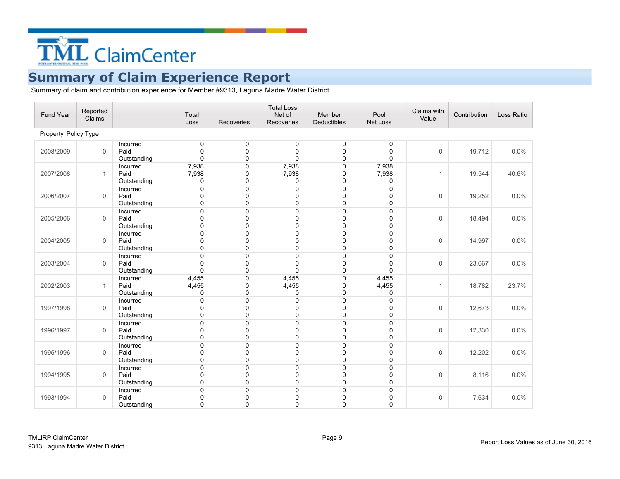

| Fund Year            | Reported<br>Claims |                                 | Total<br>Loss                     | Recoveries                      | <b>Total Loss</b><br>Net of<br><b>Recoveries</b> | Member<br><b>Deductibles</b> | Pool<br>Net Loss    | Claims with<br>Value | Contribution | Loss Ratio |
|----------------------|--------------------|---------------------------------|-----------------------------------|---------------------------------|--------------------------------------------------|------------------------------|---------------------|----------------------|--------------|------------|
| Property Policy Type |                    |                                 |                                   |                                 |                                                  |                              |                     |                      |              |            |
| 2008/2009            | $\Omega$           | Incurred<br>Paid<br>Outstanding | 0<br>$\Omega$<br>0                | 0<br>$\mathbf{0}$<br>0          | 0<br>$\Omega$<br>0                               | 0<br>0<br>0                  | 0<br>0<br>0         | $\Omega$             | 19,712       | 0.0%       |
| 2007/2008            | 1                  | Incurred<br>Paid<br>Outstanding | 7,938<br>7,938<br>0               | 0<br>0<br>0                     | 7,938<br>7,938<br>0                              | 0<br>0<br>0                  | 7,938<br>7,938<br>0 | $\mathbf{1}$         | 19,544       | 40.6%      |
| 2006/2007            | $\Omega$           | Incurred<br>Paid<br>Outstanding | $\Omega$<br>$\Omega$<br>0         | 0<br>0<br>0                     | 0<br>$\Omega$<br>0                               | 0<br>0<br>0                  | 0<br>0<br>0         | $\Omega$             | 19,252       | 0.0%       |
| 2005/2006            | $\Omega$           | Incurred<br>Paid<br>Outstanding | 0<br>ŋ<br>0                       | $\mathbf 0$<br>0<br>$\mathbf 0$ | 0<br>0<br>$\Omega$                               | 0<br>0<br>0                  | 0<br>0<br>0         | $\mathbf 0$          | 18,494       | 0.0%       |
| 2004/2005            | $\mathbf 0$        | Incurred<br>Paid<br>Outstanding | $\Omega$<br>0<br>0                | $\mathbf 0$<br>0<br>$\mathbf 0$ | 0<br>0<br>0                                      | 0<br>0<br>0                  | 0<br>0<br>0         | $\mathbf 0$          | 14,997       | 0.0%       |
| 2003/2004            | $\mathbf 0$        | Incurred<br>Paid<br>Outstanding | $\Omega$<br>$\Omega$<br>0         | $\mathbf 0$<br>0<br>0           | $\mathbf{0}$<br>0<br>0                           | 0<br>0<br>0                  | 0<br>0<br>0         | $\mathbf 0$          | 23,667       | 0.0%       |
| 2002/2003            | $\mathbf{1}$       | Incurred<br>Paid<br>Outstanding | 4,455<br>4,455<br>0               | 0<br>0<br>0                     | 4,455<br>4,455<br>0                              | 0<br>0<br>0                  | 4,455<br>4,455<br>0 | $\mathbf{1}$         | 18,782       | 23.7%      |
| 1997/1998            | 0                  | Incurred<br>Paid<br>Outstanding | $\mathbf{0}$<br><sup>0</sup><br>0 | $\mathbf 0$<br>0<br>0           | 0<br>$\Omega$<br>0                               | 0<br>0<br>0                  | 0<br>0<br>0         | $\Omega$             | 12,673       | 0.0%       |
| 1996/1997            | $\mathbf 0$        | Incurred<br>Paid<br>Outstanding | 0<br>0<br>$\Omega$                | 0<br>0<br>$\mathbf 0$           | 0<br>0<br>$\Omega$                               | 0<br>0<br>0                  | 0<br>0<br>0         | $\mathbf 0$          | 12,330       | 0.0%       |
| 1995/1996            | $\mathbf 0$        | Incurred<br>Paid<br>Outstanding | 0<br>0<br>0                       | $\Omega$<br>0<br>0              | $\Omega$<br>0<br>0                               | 0<br>0<br>0                  | 0<br>0<br>0         | $\mathbf 0$          | 12,202       | 0.0%       |
| 1994/1995            | $\Omega$           | Incurred<br>Paid<br>Outstanding | $\Omega$<br>0<br>$\Omega$         | $\overline{0}$<br>0<br>$\Omega$ | 0<br>0<br>$\Omega$                               | 0<br>0<br>0                  | 0<br>0<br>0         | $\Omega$             | 8,116        | 0.0%       |
| 1993/1994            | $\mathbf 0$        | Incurred<br>Paid<br>Outstanding | $\Omega$<br>0<br>0                | $\mathbf 0$<br>0<br>$\Omega$    | 0<br>0<br>0                                      | 0<br>0<br>0                  | 0<br>0<br>0         | $\mathbf 0$          | 7,634        | 0.0%       |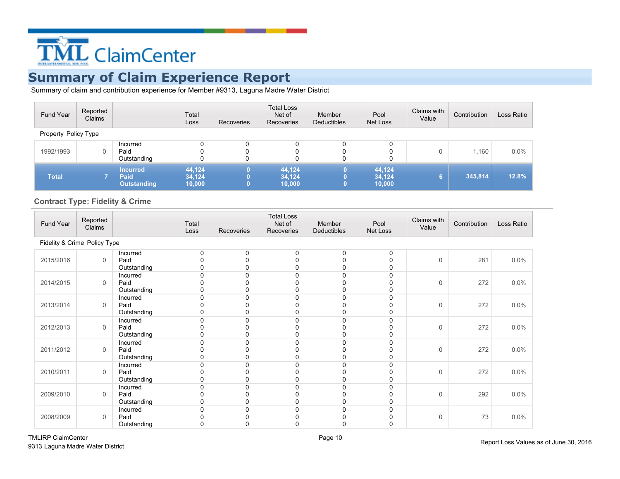

Summary of claim and contribution experience for Member #9313, Laguna Madre Water District

| Fund Year            | Reported<br>Claims |                                               | Total<br>Loss              | <b>Recoveries</b> | <b>Total Loss</b><br>Net of<br>Recoveries | Member<br>Deductibles | Pool<br>Net Loss           | Claims with<br>Value | Contribution | Loss Ratio |
|----------------------|--------------------|-----------------------------------------------|----------------------------|-------------------|-------------------------------------------|-----------------------|----------------------------|----------------------|--------------|------------|
| Property Policy Type |                    |                                               |                            |                   |                                           |                       |                            |                      |              |            |
| 1992/1993            | 0                  | Incurred<br>Paid<br>Outstanding               |                            | 0<br>0<br>0       | 0<br>0<br>0                               | 0<br>0                | 0<br>0                     | $\Omega$             | 1,160        | 0.0%       |
| <b>Total</b>         |                    | <b>Incurred</b><br>Paid<br><b>Outstanding</b> | 44,124<br>34,124<br>10,000 |                   | 44,124<br>34,124<br>10,000                |                       | 44,124<br>34,124<br>10,000 | 6.                   | 345,814      | 12.8%      |

### **Contract Type: Fidelity & Crime**

| Fund Year | Reported<br>Claims           |                         | Total<br>Loss | Recoveries | <b>Total Loss</b><br>Net of<br>Recoveries | Member<br>Deductibles | Pool<br>Net Loss | Claims with<br>Value | Contribution | Loss Ratio |
|-----------|------------------------------|-------------------------|---------------|------------|-------------------------------------------|-----------------------|------------------|----------------------|--------------|------------|
|           | Fidelity & Crime Policy Type |                         |               |            |                                           |                       |                  |                      |              |            |
| 2015/2016 | $\mathbf 0$                  | Incurred<br>Paid        | 0<br>n        | $\Omega$   | 0                                         | 0                     | 0                | $\mathbf 0$          | 281          | $0.0\%$    |
|           |                              | Outstanding             |               |            |                                           |                       |                  |                      |              |            |
|           |                              | Incurred                | n             |            |                                           |                       |                  |                      |              |            |
| 2014/2015 | $\Omega$                     | Paid<br>Outstanding     |               |            |                                           |                       |                  | $\mathsf{O}\xspace$  | 272          | $0.0\%$    |
|           |                              | Incurred                | n             |            |                                           |                       |                  |                      |              |            |
| 2013/2014 | $\mathbf 0$                  | Paid                    |               |            |                                           |                       |                  | $\mathsf{O}\xspace$  | 272          | $0.0\%$    |
|           |                              | Outstanding<br>Incurred | 0             |            |                                           |                       |                  |                      |              |            |
| 2012/2013 | $\mathbf 0$                  | Paid                    |               |            |                                           |                       |                  | $\mathsf{O}\xspace$  | 272          | $0.0\%$    |
|           |                              | Outstanding             |               |            |                                           |                       |                  |                      |              |            |
|           |                              | Incurred                |               |            |                                           |                       |                  |                      |              |            |
| 2011/2012 | $\mathbf 0$                  | Paid<br>Outstanding     |               |            |                                           |                       |                  | $\mathsf 0$          | 272          | $0.0\%$    |
|           |                              | Incurred                | n             |            |                                           |                       |                  |                      |              |            |
| 2010/2011 | $\mathbf 0$                  | Paid                    |               |            |                                           |                       |                  | $\mathsf 0$          | 272          | 0.0%       |
|           |                              | Outstanding             | 0             |            |                                           |                       |                  |                      |              |            |
|           |                              | Incurred                |               |            |                                           |                       |                  |                      |              |            |
| 2009/2010 | $\mathbf 0$                  | Paid<br>Outstanding     | ი             |            |                                           |                       |                  | $\mathsf 0$          | 292          | 0.0%       |
|           |                              | Incurred                |               |            |                                           |                       |                  |                      |              |            |
| 2008/2009 | $\mathbf 0$                  | Paid                    |               |            |                                           |                       |                  | $\mathsf 0$          | 73           | $0.0\%$    |
|           |                              | Outstanding             | 0             |            |                                           |                       |                  |                      |              |            |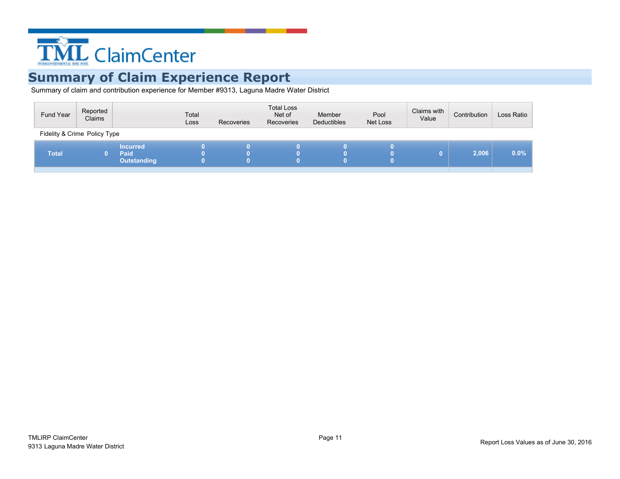

| Fidelity & Crime Policy Type<br><b>Incurred</b><br>0.0%<br>2,006<br><b>Total</b><br>Paid<br>0<br><b>Outstanding</b> | Fund Year | Reported<br>Claims | Total<br>Loss | Recoveries | <b>Total Loss</b><br>Net of<br>Recoveries | Member<br>Deductibles | Pool<br>Net Loss | Claims with<br>Value | Contribution | Loss Ratio |
|---------------------------------------------------------------------------------------------------------------------|-----------|--------------------|---------------|------------|-------------------------------------------|-----------------------|------------------|----------------------|--------------|------------|
|                                                                                                                     |           |                    |               |            |                                           |                       |                  |                      |              |            |
|                                                                                                                     |           |                    |               |            |                                           |                       |                  |                      |              |            |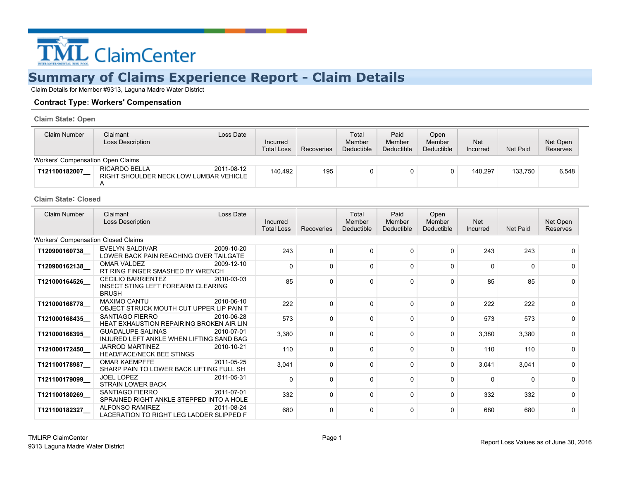

Claim Details for Member #9313, Laguna Madre Water District

#### **Contract Type: Workers' Compensation**

**Claim State: Open**

| Claim Number                      | Claimant<br>Loss Date<br>Loss Description                             | Incurred<br><b>Total Loss</b> | Recoveries | Total<br>Member<br>Deductible | Paid<br>Member<br>Deductible | Open<br>Member<br>Deductible | <b>Net</b><br>Incurred | Net Paid | Net Open<br><b>Reserves</b> |
|-----------------------------------|-----------------------------------------------------------------------|-------------------------------|------------|-------------------------------|------------------------------|------------------------------|------------------------|----------|-----------------------------|
| Workers' Compensation Open Claims |                                                                       |                               |            |                               |                              |                              |                        |          |                             |
| T121100182007                     | RICARDO BELLA<br>2011-08-12<br>RIGHT SHOULDER NECK LOW LUMBAR VEHICLE | 140.492                       | 195        | 0                             |                              |                              | 140.297                | 133.750  | 6,548                       |

#### **Claim State: Closed**

| <b>Claim Number</b>                        | Loss Date<br>Claimant<br>Loss Description                                                     | Incurred<br><b>Total Loss</b> | Recoveries | Total<br>Member<br>Deductible | Paid<br>Member<br>Deductible | Open<br>Member<br>Deductible | <b>Net</b><br>Incurred | Net Paid | Net Open<br>Reserves |
|--------------------------------------------|-----------------------------------------------------------------------------------------------|-------------------------------|------------|-------------------------------|------------------------------|------------------------------|------------------------|----------|----------------------|
| <b>Workers' Compensation Closed Claims</b> |                                                                                               |                               |            |                               |                              |                              |                        |          |                      |
| T120900160738                              | EVELYN SALDIVAR<br>2009-10-20<br>LOWER BACK PAIN REACHING OVER TAILGATE                       | 243                           | $\Omega$   | $\Omega$                      | $\Omega$                     | 0                            | 243                    | 243      |                      |
| T120900162138                              | 2009-12-10<br>OMAR VALDEZ<br>RT RING FINGER SMASHED BY WRENCH                                 | $\Omega$                      | $\Omega$   | $\Omega$                      | $\Omega$                     | 0                            | $\Omega$               | 0        | <sup>0</sup>         |
| T121000164526                              | <b>CECILIO BARRIENTEZ</b><br>2010-03-03<br>INSECT STING LEFT FOREARM CLEARING<br><b>BRUSH</b> | 85                            | $\Omega$   | $\Omega$                      | $\Omega$                     | $\Omega$                     | 85                     | 85       |                      |
| T121000168778_                             | <b>MAXIMO CANTU</b><br>2010-06-10<br>OBJECT STRUCK MOUTH CUT UPPER LIP PAIN T                 | 222                           | $\Omega$   | $\Omega$                      | $\Omega$                     | $\Omega$                     | 222                    | 222      |                      |
| T121000168435                              | SANTIAGO FIERRO<br>2010-06-28<br>HEAT EXHAUSTION REPAIRING BROKEN AIR LIN                     | 573                           | $\Omega$   | $\Omega$                      | $\Omega$                     | $\Omega$                     | 573                    | 573      | <sup>0</sup>         |
| T121000168395                              | <b>GUADALUPE SALINAS</b><br>2010-07-01<br>INJURED LEFT ANKLE WHEN LIFTING SAND BAG            | 3,380                         | $\Omega$   | 0                             | $\Omega$                     | 0                            | 3,380                  | 3,380    | <sup>0</sup>         |
| T121000172450                              | <b>JARROD MARTINEZ</b><br>2010-10-21<br><b>HEAD/FACE/NECK BEE STINGS</b>                      | 110                           | $\Omega$   | $\Omega$                      | $\Omega$                     | $\Omega$                     | 110                    | 110      | 0                    |
| T121100178987                              | <b>OMAR KAEMPFFE</b><br>2011-05-25<br>SHARP PAIN TO LOWER BACK LIFTING FULL SH                | 3,041                         | $\Omega$   | $\Omega$                      | $\Omega$                     | $\Omega$                     | 3,041                  | 3,041    | <sup>0</sup>         |
| T121100179099                              | <b>JOEL LOPEZ</b><br>2011-05-31<br><b>STRAIN LOWER BACK</b>                                   | $\Omega$                      | $\Omega$   | $\Omega$                      | 0                            | 0                            | $\Omega$               | 0        | <sup>0</sup>         |
| T121100180269                              | SANTIAGO FIERRO<br>2011-07-01<br>SPRAINED RIGHT ANKLE STEPPED INTO A HOLE                     | 332                           | $\Omega$   | $\Omega$                      | $\Omega$                     | 0                            | 332                    | 332      | <sup>0</sup>         |
| T121100182327                              | <b>ALFONSO RAMIREZ</b><br>2011-08-24<br>LACERATION TO RIGHT LEG LADDER SLIPPED F              | 680                           | $\Omega$   | $\Omega$                      | ∩                            | O                            | 680                    | 680      | <sup>0</sup>         |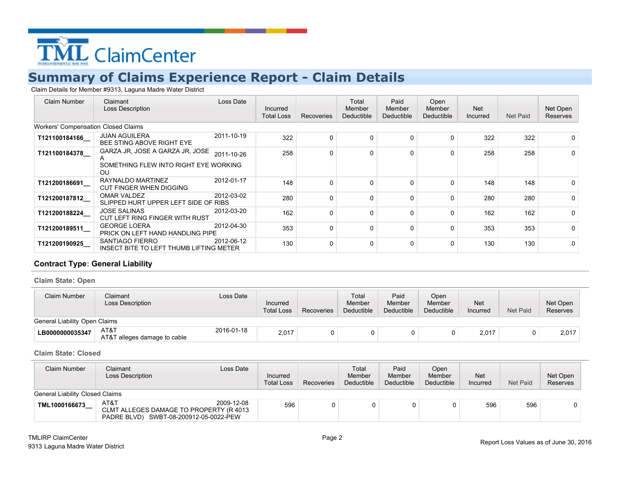

Claim Details for Member #9313, Laguna Madre Water District

| Claim Number                               | Claimant<br><b>Loss Description</b>                                                            | Loss Date  | Incurred<br><b>Total Loss</b> | Recoveries | Total<br>Member<br>Deductible | Paid<br>Member<br>Deductible | Open<br>Member<br>Deductible | <b>Net</b><br>Incurred | Net Paid | Net Open<br><b>Reserves</b> |
|--------------------------------------------|------------------------------------------------------------------------------------------------|------------|-------------------------------|------------|-------------------------------|------------------------------|------------------------------|------------------------|----------|-----------------------------|
| <b>Workers' Compensation Closed Claims</b> |                                                                                                |            |                               |            |                               |                              |                              |                        |          |                             |
| T121100184166                              | <b>JUAN AGUILERA</b><br>BEE STING ABOVE RIGHT EYE                                              | 2011-10-19 | 322                           | $\Omega$   | $\Omega$                      | $\Omega$                     | $\Omega$                     | 322                    | 322      | 0                           |
| T121100184378                              | GARZA JR, JOSE A GARZA JR, JOSE<br>$\mathsf{A}$<br>SOMETHING FLEW INTO RIGHT EYE WORKING<br>OU | 2011-10-26 | 258                           | $\Omega$   | $\Omega$                      | $\Omega$                     | $\Omega$                     | 258                    | 258      | 0                           |
| T121200186691                              | RAYNALDO MARTINEZ<br><b>CUT FINGER WHEN DIGGING</b>                                            | 2012-01-17 | 148                           | $\Omega$   | $\Omega$                      | $\Omega$                     | $\Omega$                     | 148                    | 148      | 0                           |
| T121200187812                              | <b>OMAR VALDEZ</b><br>SLIPPED HURT UPPER LEFT SIDE OF RIBS                                     | 2012-03-02 | 280                           | $\Omega$   | $\Omega$                      | $\Omega$                     | $\Omega$                     | 280                    | 280      | $\Omega$                    |
| T121200188224_                             | <b>JOSE SALINAS</b><br>CUT LEFT RING FINGER WITH RUST                                          | 2012-03-20 | 162                           | $\Omega$   | $\Omega$                      | $\Omega$                     | $\Omega$                     | 162                    | 162      | 0                           |
| T121200189511                              | <b>GEORGE LOERA</b><br>PRICK ON LEFT HAND HANDLING PIPE                                        | 2012-04-30 | 353                           | $\Omega$   | $\mathbf 0$                   | $\Omega$                     | $\Omega$                     | 353                    | 353      | $\Omega$                    |
| T121200190925                              | SANTIAGO FIERRO<br>INSECT BITE TO LEFT THUMB LIFTING METER                                     | 2012-06-12 | 130                           | 0          | $\Omega$                      | $\Omega$                     | $\Omega$                     | 130                    | 130      | 0                           |

### **Contract Type: General Liability**

**Claim State: Open**

| Claim Number                  | Claimant<br>Loss Description         | Loss Date  | Incurred<br><b>Total Loss</b> | Recoveries | Total<br>Member<br>Deductible | Paid<br>Member<br>Deductible | Open<br>Member<br>Deductible | Net<br>Incurred | Net Paid | Net Open<br>Reserves |
|-------------------------------|--------------------------------------|------------|-------------------------------|------------|-------------------------------|------------------------------|------------------------------|-----------------|----------|----------------------|
| General Liability Open Claims |                                      |            |                               |            |                               |                              |                              |                 |          |                      |
| LB0000000035347               | AT&T<br>AT&T alleges damage to cable | 2016-01-18 | 2,017                         |            |                               |                              |                              | 2,017           |          | 2,017                |

#### **Claim State: Closed**

| Claim Number                    | Claimant<br>Loss Date<br>Loss Description                                                               | Incurred<br><b>Total Loss</b> | Recoveries | Total<br>Member<br>Deductible | Paid<br>Member<br>Deductible | Open<br>Member<br>Deductible | <b>Net</b><br>Incurred | Net Paid | Net Open<br>Reserves |
|---------------------------------|---------------------------------------------------------------------------------------------------------|-------------------------------|------------|-------------------------------|------------------------------|------------------------------|------------------------|----------|----------------------|
| General Liability Closed Claims |                                                                                                         |                               |            |                               |                              |                              |                        |          |                      |
| TML1000166673                   | AT&T<br>2009-12-08<br>CLMT ALLEGES DAMAGE TO PROPERTY (R 4013<br>PADRE BLVD) SWBT-08-200912-05-0022-PEW | 596                           |            |                               |                              |                              | 596                    | 596      |                      |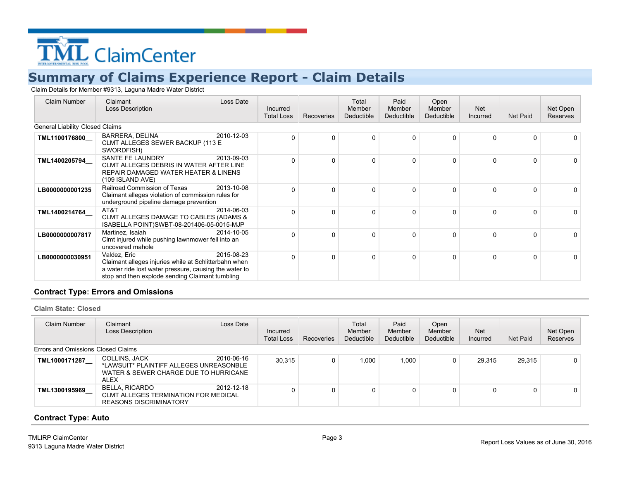

Claim Details for Member #9313, Laguna Madre Water District

| <b>Claim Number</b>             | Loss Date<br>Claimant<br><b>Loss Description</b>                                                                                                                                                 | Incurred<br><b>Total Loss</b> | Recoveries   | Total<br>Member<br>Deductible | Paid<br>Member<br>Deductible | Open<br>Member<br>Deductible | <b>Net</b><br>Incurred | Net Paid | Net Open<br>Reserves |
|---------------------------------|--------------------------------------------------------------------------------------------------------------------------------------------------------------------------------------------------|-------------------------------|--------------|-------------------------------|------------------------------|------------------------------|------------------------|----------|----------------------|
| General Liability Closed Claims |                                                                                                                                                                                                  |                               |              |                               |                              |                              |                        |          |                      |
| TML1100176800_                  | BARRERA, DELINA<br>2010-12-03<br>CLMT ALLEGES SEWER BACKUP (113 E<br>SWORDFISH)                                                                                                                  | $\Omega$                      | 0            | $\Omega$                      | 0                            | U                            | 0                      | 0        | 0                    |
| TML1400205794                   | 2013-09-03<br>SANTE FE LAUNDRY<br>CLMT ALLEGES DEBRIS IN WATER AFTER LINE<br>REPAIR DAMAGED WATER HEATER & LINENS<br>(109 ISLAND AVE)                                                            | $\Omega$                      | 0            | $\Omega$                      | 0                            | U                            | 0                      | $\Omega$ | 0                    |
| LB0000000001235                 | Railroad Commission of Texas<br>2013-10-08<br>Claimant alleges violation of commission rules for<br>underground pipeline damage prevention                                                       | ∩                             | 0            | $\Omega$                      | 0                            | U                            | 0                      | $\Omega$ | 0                    |
| TML1400214764                   | 2014-06-03<br>AT&T<br>CLMT ALLEGES DAMAGE TO CABLES (ADAMS &<br>ISABELLA POINT)SWBT-08-201406-05-0015-MJP                                                                                        | $\Omega$                      | <sup>0</sup> | $\Omega$                      | 0                            | O                            | <sup>0</sup>           | $\Omega$ | 0                    |
| LB0000000007817                 | Martinez, Isaiah<br>2014-10-05<br>Clmt injured while pushing lawnmower fell into an<br>uncovered mahole                                                                                          | ∩                             | 0            | $\Omega$                      | 0                            | U                            | 0                      | $\Omega$ | 0                    |
| LB0000000030951                 | Valdez, Eric<br>2015-08-23<br>Claimant alleges injuries while at Schlitterbahn when<br>a water ride lost water pressure, causing the water to<br>stop and then explode sending Claimant tumbling | $\Omega$                      | 0            | $\Omega$                      | 0                            | U                            | <sup>0</sup>           | $\Omega$ | $\Omega$             |

#### **Contract Type: Errors and Omissions**

**Claim State: Closed**

| Claim Number                       | Claimant<br><b>Loss Description</b>                                                                              | Loss Date  | Incurred<br><b>Total Loss</b> | Recoveries | Total<br>Member<br>Deductible | Paid<br><b>Member</b><br>Deductible | Open<br>Member<br>Deductible | <b>Net</b><br>Incurred | Net Paid | Net Open<br>Reserves |
|------------------------------------|------------------------------------------------------------------------------------------------------------------|------------|-------------------------------|------------|-------------------------------|-------------------------------------|------------------------------|------------------------|----------|----------------------|
| Errors and Omissions Closed Claims |                                                                                                                  |            |                               |            |                               |                                     |                              |                        |          |                      |
| TML1000171287                      | COLLINS, JACK<br>*LAWSUIT* PLAINTIFF ALLEGES UNREASONBLE<br>WATER & SEWER CHARGE DUE TO HURRICANE<br><b>ALEX</b> | 2010-06-16 | 30,315                        |            | 1.000                         | 1,000                               | 0                            | 29.315                 | 29,315   | $\mathbf{0}$         |
| TML1300195969                      | BELLA, RICARDO<br><b>CLMT ALLEGES TERMINATION FOR MEDICAL</b><br><b>REASONS DISCRIMINATORY</b>                   | 2012-12-18 |                               |            | 0                             | 0                                   | 0                            |                        | 0        | 0                    |

#### **Contract Type: Auto**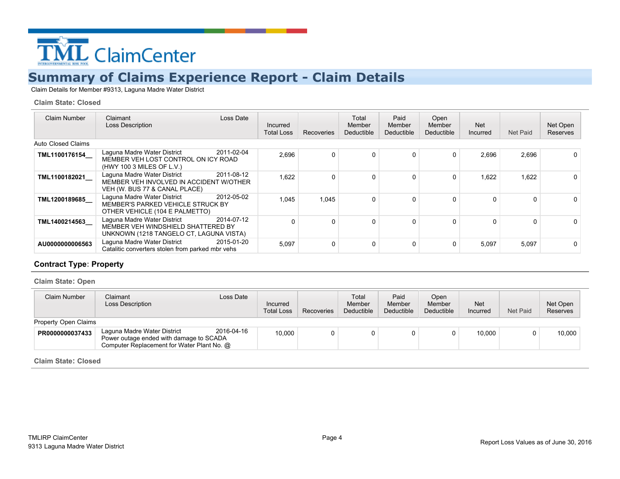

Claim Details for Member #9313, Laguna Madre Water District

#### **Claim State: Closed**

| Claim Number              | Loss Date<br>Claimant<br><b>Loss Description</b>                                                                           | Incurred<br><b>Total Loss</b> | <b>Recoveries</b> | Total<br>Member<br>Deductible | Paid<br>Member<br>Deductible | Open<br>Member<br>Deductible | <b>Net</b><br>Incurred | Net Paid | Net Open<br><b>Reserves</b> |
|---------------------------|----------------------------------------------------------------------------------------------------------------------------|-------------------------------|-------------------|-------------------------------|------------------------------|------------------------------|------------------------|----------|-----------------------------|
| <b>Auto Closed Claims</b> |                                                                                                                            |                               |                   |                               |                              |                              |                        |          |                             |
| TML1100176154             | Laguna Madre Water District<br>2011-02-04<br>MEMBER VEH LOST CONTROL ON ICY ROAD<br>(HWY 100 3 MILES OF L.V.)              | 2,696                         | 0                 | $\Omega$                      | $\Omega$                     | 0                            | 2.696                  | 2,696    | $\Omega$                    |
| TML1100182021             | Laguna Madre Water District<br>2011-08-12<br>MEMBER VEH INVOLVED IN ACCIDENT W/OTHER<br>VEH (W. BUS 77 & CANAL PLACE)      | 1,622                         | 0                 | $\Omega$                      | 0                            | 0                            | 1,622                  | 1,622    |                             |
| TML1200189685             | Laguna Madre Water District<br>2012-05-02<br>MEMBER'S PARKED VEHICLE STRUCK BY<br>OTHER VEHICLE (104 E PALMETTO)           | 1.045                         | 1.045             | $\Omega$                      |                              | $\Omega$                     |                        | 0        |                             |
| TML1400214563             | Laguna Madre Water District<br>2014-07-12<br>MEMBER VEH WINDSHIELD SHATTERED BY<br>UNKNOWN (1218 TANGELO CT, LAGUNA VISTA) | $\Omega$                      | 0                 | $\Omega$                      | 0                            | $\Omega$                     |                        | 0        |                             |
| AU0000000006563           | 2015-01-20<br>Laguna Madre Water District<br>Catalitic converters stolen from parked mbr vehs                              | 5,097                         | 0                 | $\Omega$                      | 0                            | $\Omega$                     | 5.097                  | 5.097    |                             |

#### **Contract Type: Property**

**Claim State: Open**

| Claim Number         | Claimant<br>Loss Description                                                                                         | Loss Date  | Incurred<br><b>Total Loss</b> | Recoveries | Total<br>Member<br>Deductible | Paid<br>Member<br>Deductible | Open<br>Member<br>Deductible | <b>Net</b><br>Incurred | Net Paid | Net Open<br><b>Reserves</b> |
|----------------------|----------------------------------------------------------------------------------------------------------------------|------------|-------------------------------|------------|-------------------------------|------------------------------|------------------------------|------------------------|----------|-----------------------------|
| Property Open Claims |                                                                                                                      |            |                               |            |                               |                              |                              |                        |          |                             |
| PR0000000037433      | Laguna Madre Water District<br>Power outage ended with damage to SCADA<br>Computer Replacement for Water Plant No. @ | 2016-04-16 | 10.000                        |            |                               | 0                            |                              | 10.000                 | $\Omega$ | 10.000                      |

**Claim State: Closed**